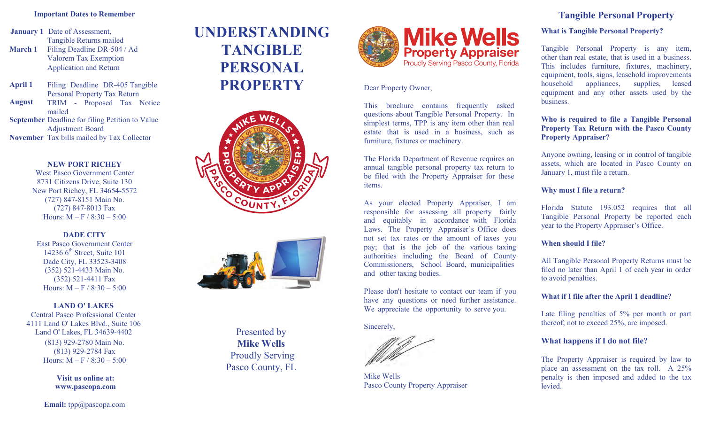#### **Important Dates to Remember**

**January 1** Date of Assessment, **March 1**  Tangible Returns mailed Filing Deadline DR-504 / Ad Valorem Tax Exemption Application and Return

**April 1** Filing Deadline DR-405 Tangible Personal Property Tax Return TRIM - Proposed Tax Notice mailed **August**

**September** Deadline for filing Petition to Value Adjustment Board **November** Tax bills mailed by Tax Collector

#### **NEW PORT RICHEY**

West Pasco Government Center 8731 Citizens Drive, Suite 130 New Port Richey, FL 34654-5572 (727) 847-8151 Main No. (727) 847-8013 Fax Hours:  $M - F / 8:30 - 5:00$ 

**DADE CITY** East Pasco Government Center 14236  $6<sup>th</sup>$  Street, Suite 101 Dade City, FL 33523-3408 (352) 521-4433 Main No. (352) 521-4411 Fax Hours:  $M - F / 8:30 - 5:00$ 

**LAND O' LAKES** Central Pasco Professional Center 4111 Land O' Lakes Blvd., Suite 106 Land O' Lakes, FL 34639-4402 (813) 929-2780 Main No. (813) 929-2784 Fax Hours:  $M - F / 8:30 - 5:00$ 

> **Visit us online at: www.pascopa.com**

**Email:** tpp@pascopa.com

# **UNDERSTANDING TANGIBLE PERSONAL PROPERTY** Dear Property Owner,





Presented by **Mike Wells** Proudly Serving Pasco County, FL



This brochure contains frequently asked questions about Tangible Personal Property. In simplest terms, TPP is any item other than real estate that is used in a business, such as furniture, fixtures or machinery.

The Florida Department of Revenue requires an annual tangible personal property tax return to be filed with the Property Appraiser for these items.

As your elected Property Appraiser, I am responsible for assessing all property fairly and equitably in accordance with Florida Laws. The Property Appraiser's Office does not set tax rates or the amount of taxes you pay; that is the job of the various taxing authorities including the Board of County Commissioners, School Board, municipalities and other taxing bodies.

Please don't hesitate to contact our team if you have any questions or need further assistance. We appreciate the opportunity to serve you.

Sincerely,

Mike Wells Pasco County Property Appraiser

## **Tangible Personal Property**

#### **What is Tangible Personal Property?**

Tangible Personal Property is any item, other than real estate, that is used in a business. This includes furniture, fixtures, machinery, equipment, tools, signs, leasehold improvements household appliances, supplies, leased equipment and any other assets used by the **business** 

**Who is required to file a Tangible Personal Property Tax Return with the Pasco County Property Appraiser?** 

Anyone owning, leasing or in control of tangible assets, which are located in Pasco County on January 1, must file a return.

#### **Why must I file a return?**

Florida Statute 193.052 requires that all Tangible Personal Property be reported each year to the Property Appraiser's Office.

#### **When should I file?**

All Tangible Personal Property Returns must be filed no later than April 1 of each year in order to avoid penalties.

#### **What if I file after the April 1 deadline?**

Late filing penalties of 5% per month or part thereof; not to exceed 25%, are imposed.

### **What happens if I do not file?**

The Property Appraiser is required by law to place an assessment on the tax roll. A 25% penalty is then imposed and added to the tax levied.